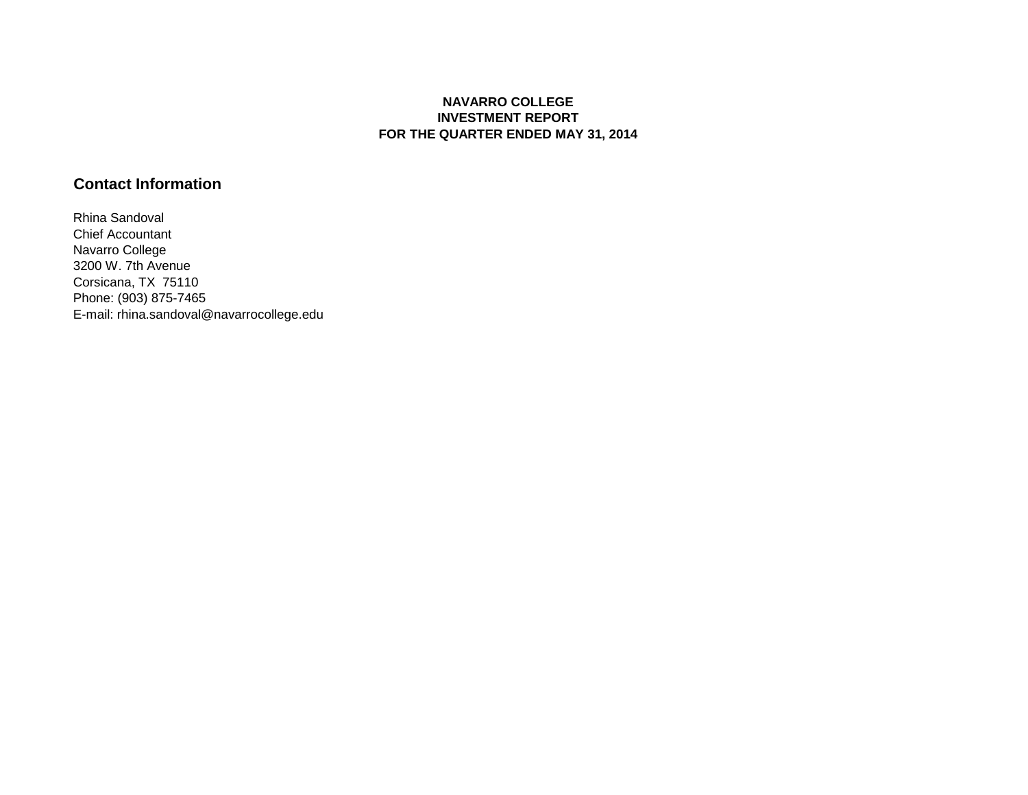## **NAVARRO COLLEGE INVESTMENT REPORT FOR THE QUARTER ENDED MAY 31, 2014**

## **Contact Information**

Rhina Sandoval Chief Accountant Navarro College 3200 W. 7th Avenue Corsicana, TX 75110 Phone: (903) 875-7465 E-mail: rhina.sandoval@navarrocollege.edu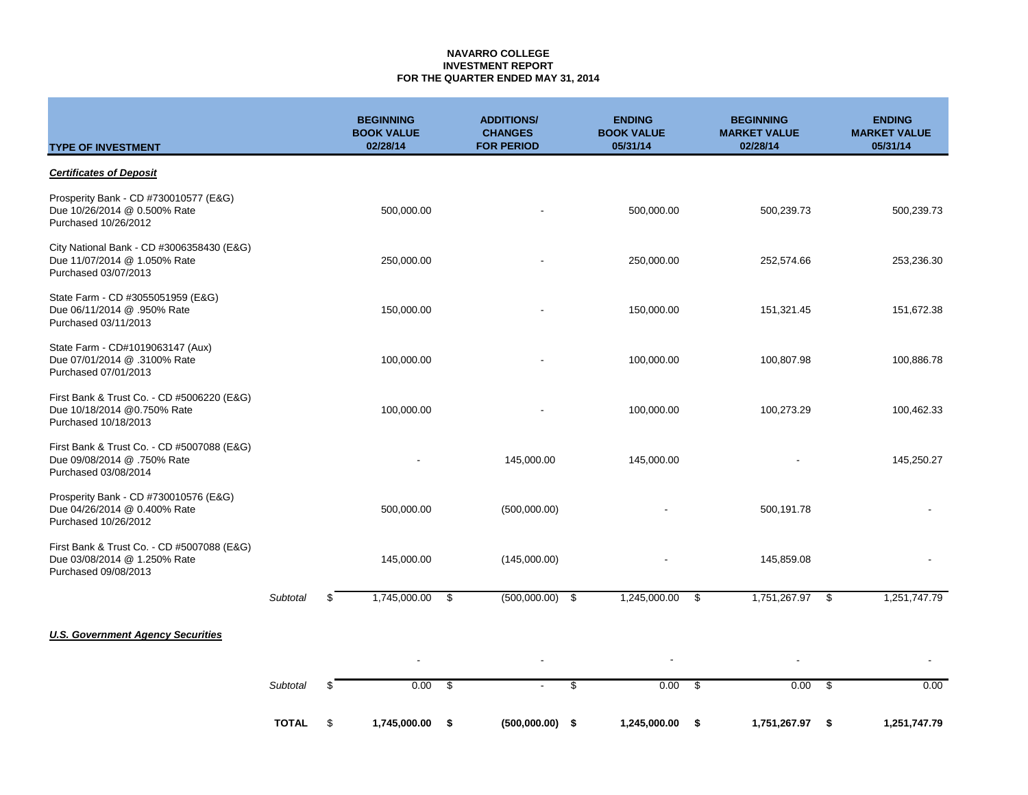### **NAVARRO COLLEGE INVESTMENT REPORT FOR THE QUARTER ENDED MAY 31, 2014**

| <b>TYPE OF INVESTMENT</b>                                                                          |                 | <b>BEGINNING</b><br><b>BOOK VALUE</b><br>02/28/14 |      | <b>ADDITIONS/</b><br><b>CHANGES</b><br><b>FOR PERIOD</b> | <b>ENDING</b><br><b>BOOK VALUE</b><br>05/31/14 |      | <b>BEGINNING</b><br><b>MARKET VALUE</b><br>02/28/14 |      | <b>ENDING</b><br><b>MARKET VALUE</b><br>05/31/14 |
|----------------------------------------------------------------------------------------------------|-----------------|---------------------------------------------------|------|----------------------------------------------------------|------------------------------------------------|------|-----------------------------------------------------|------|--------------------------------------------------|
| <b>Certificates of Deposit</b>                                                                     |                 |                                                   |      |                                                          |                                                |      |                                                     |      |                                                  |
| Prosperity Bank - CD #730010577 (E&G)<br>Due 10/26/2014 @ 0.500% Rate<br>Purchased 10/26/2012      |                 | 500,000.00                                        |      |                                                          | 500,000.00                                     |      | 500,239.73                                          |      | 500,239.73                                       |
| City National Bank - CD #3006358430 (E&G)<br>Due 11/07/2014 @ 1.050% Rate<br>Purchased 03/07/2013  |                 | 250,000.00                                        |      |                                                          | 250,000.00                                     |      | 252,574.66                                          |      | 253,236.30                                       |
| State Farm - CD #3055051959 (E&G)<br>Due 06/11/2014 @ .950% Rate<br>Purchased 03/11/2013           |                 | 150,000.00                                        |      |                                                          | 150,000.00                                     |      | 151,321.45                                          |      | 151,672.38                                       |
| State Farm - CD#1019063147 (Aux)<br>Due 07/01/2014 @ .3100% Rate<br>Purchased 07/01/2013           |                 | 100,000.00                                        |      |                                                          | 100,000.00                                     |      | 100,807.98                                          |      | 100,886.78                                       |
| First Bank & Trust Co. - CD #5006220 (E&G)<br>Due 10/18/2014 @0.750% Rate<br>Purchased 10/18/2013  |                 | 100,000.00                                        |      |                                                          | 100,000.00                                     |      | 100,273.29                                          |      | 100,462.33                                       |
| First Bank & Trust Co. - CD #5007088 (E&G)<br>Due 09/08/2014 @ .750% Rate<br>Purchased 03/08/2014  |                 |                                                   |      | 145,000.00                                               | 145,000.00                                     |      |                                                     |      | 145,250.27                                       |
| Prosperity Bank - CD #730010576 (E&G)<br>Due 04/26/2014 @ 0.400% Rate<br>Purchased 10/26/2012      |                 | 500,000.00                                        |      | (500,000.00)                                             |                                                |      | 500,191.78                                          |      |                                                  |
| First Bank & Trust Co. - CD #5007088 (E&G)<br>Due 03/08/2014 @ 1.250% Rate<br>Purchased 09/08/2013 |                 | 145,000.00                                        |      | (145,000.00)                                             |                                                |      | 145,859.08                                          |      |                                                  |
|                                                                                                    | <b>Subtotal</b> | \$<br>1,745,000.00                                | - \$ | $(500,000.00)$ \$                                        | 1,245,000.00                                   | - \$ | 1,751,267.97 \$                                     |      | 1,251,747.79                                     |
| <b>U.S. Government Agency Securities</b>                                                           |                 |                                                   |      |                                                          |                                                |      |                                                     |      |                                                  |
|                                                                                                    |                 |                                                   |      |                                                          |                                                |      |                                                     |      |                                                  |
|                                                                                                    | Subtotal        | \$<br>0.00                                        | \$   |                                                          | \$<br>0.00                                     | \$   | 0.00                                                | - \$ | 0.00                                             |
|                                                                                                    | <b>TOTAL</b>    | \$<br>1,745,000.00                                | \$   | $(500,000.00)$ \$                                        | 1,245,000.00                                   | - \$ | 1,751,267.97                                        | - \$ | 1,251,747.79                                     |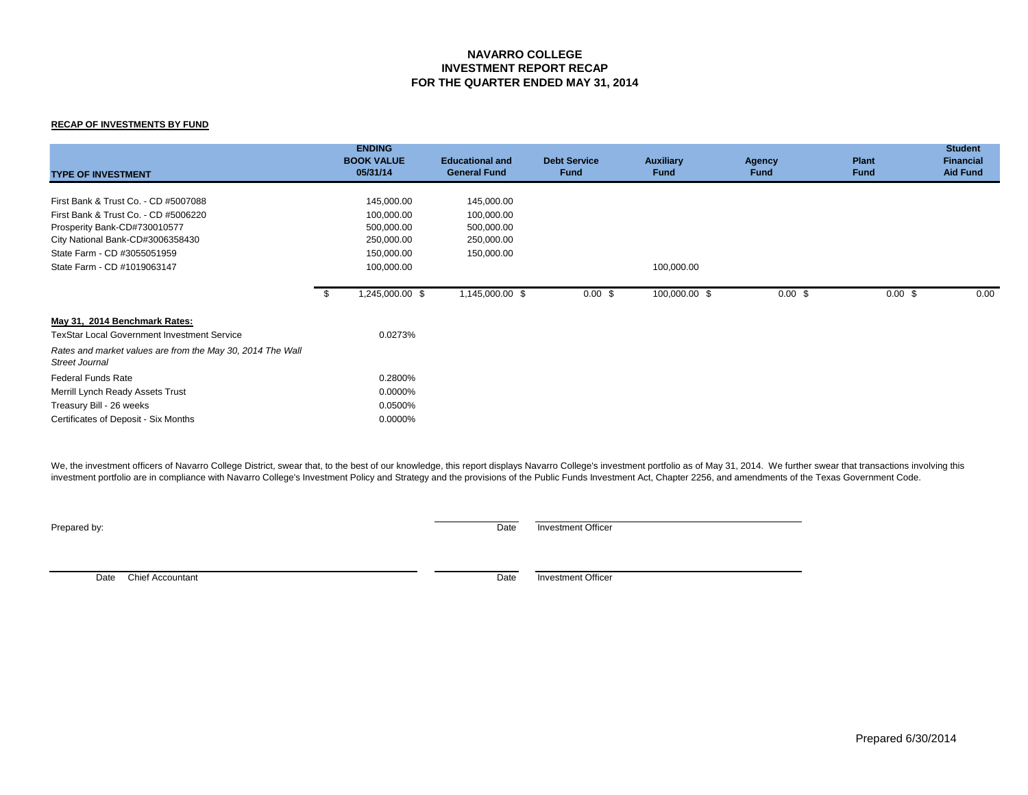## **NAVARRO COLLEGE INVESTMENT REPORT RECAP FOR THE QUARTER ENDED MAY 31, 2014**

### **RECAP OF INVESTMENTS BY FUND**

| <b>TYPE OF INVESTMENT</b>                                                                                                                                                       |      | <b>ENDING</b><br><b>BOOK VALUE</b><br>05/31/14                     | <b>Educational and</b><br><b>General Fund</b>                      | <b>Debt Service</b><br><b>Fund</b> | <b>Auxiliary</b><br><b>Fund</b> | Agency<br><b>Fund</b> | <b>Plant</b><br><b>Fund</b> | <b>Student</b><br><b>Financial</b><br><b>Aid Fund</b> |
|---------------------------------------------------------------------------------------------------------------------------------------------------------------------------------|------|--------------------------------------------------------------------|--------------------------------------------------------------------|------------------------------------|---------------------------------|-----------------------|-----------------------------|-------------------------------------------------------|
| First Bank & Trust Co. - CD #5007088<br>First Bank & Trust Co. - CD #5006220<br>Prosperity Bank-CD#730010577<br>City National Bank-CD#3006358430<br>State Farm - CD #3055051959 |      | 145,000.00<br>100,000.00<br>500,000.00<br>250,000.00<br>150,000.00 | 145,000.00<br>100,000.00<br>500,000.00<br>250,000.00<br>150,000.00 |                                    |                                 |                       |                             |                                                       |
| State Farm - CD #1019063147                                                                                                                                                     |      | 100,000.00                                                         |                                                                    |                                    | 100,000.00                      |                       |                             |                                                       |
|                                                                                                                                                                                 | - \$ | 1,245,000.00 \$                                                    | 1,145,000.00 \$                                                    | $0.00$ \$                          | 100,000.00 \$                   | $0.00$ \$             | $0.00$ \$                   | 0.00                                                  |
| May 31, 2014 Benchmark Rates:<br><b>TexStar Local Government Investment Service</b><br>Rates and market values are from the May 30, 2014 The Wall                               |      | 0.0273%                                                            |                                                                    |                                    |                                 |                       |                             |                                                       |
| Street Journal                                                                                                                                                                  |      |                                                                    |                                                                    |                                    |                                 |                       |                             |                                                       |
| <b>Federal Funds Rate</b>                                                                                                                                                       |      | 0.2800%                                                            |                                                                    |                                    |                                 |                       |                             |                                                       |
| Merrill Lynch Ready Assets Trust<br>Treasury Bill - 26 weeks<br>Certificates of Deposit - Six Months                                                                            |      | 0.0000%<br>0.0500%<br>0.0000%                                      |                                                                    |                                    |                                 |                       |                             |                                                       |

We, the investment officers of Navarro College District, swear that, to the best of our knowledge, this report displays Navarro College's investment portfolio as of May 31, 2014. We further swear that transactions involvin investment portfolio are in compliance with Navarro College's Investment Policy and Strategy and the provisions of the Public Funds Investment Act, Chapter 2256, and amendments of the Texas Government Code.

**Prepared by:** Date Investment Officer

Date Chief Accountant Date investment Officer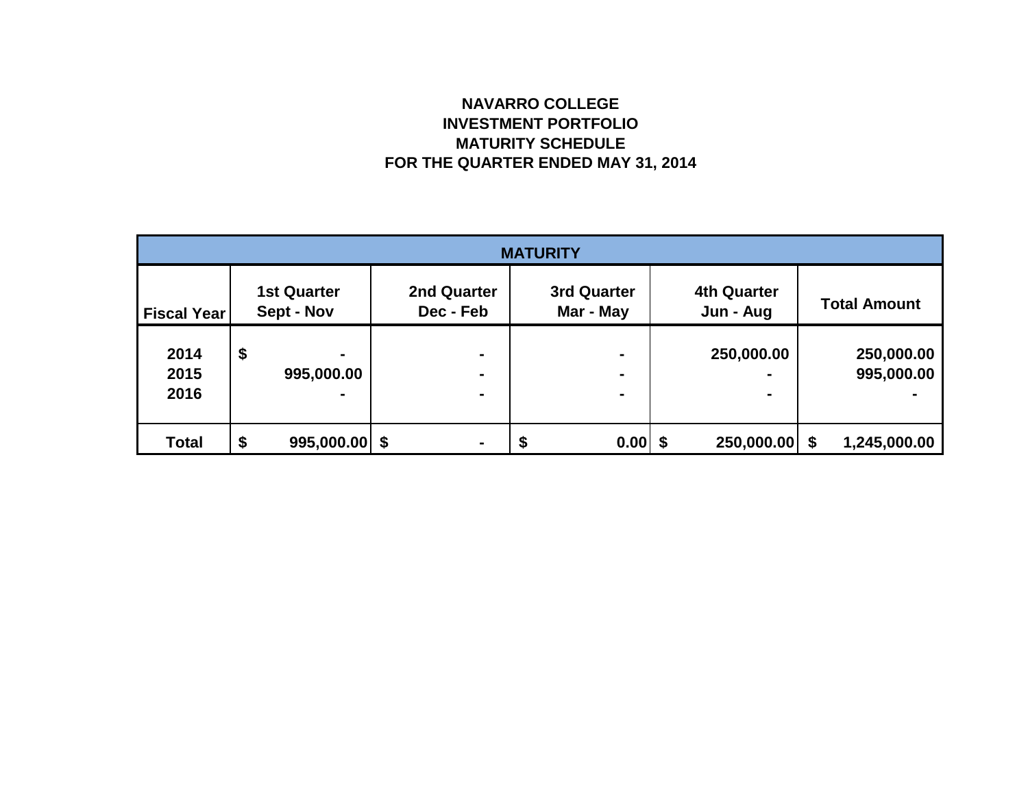# **NAVARRO COLLEGE INVESTMENT PORTFOLIO MATURITY SCHEDULE FOR THE QUARTER ENDED MAY 31, 2014**

| <b>MATURITY</b>      |    |                                  |                          |   |                          |  |                                                |  |                          |  |
|----------------------|----|----------------------------------|--------------------------|---|--------------------------|--|------------------------------------------------|--|--------------------------|--|
| <b>Fiscal Year</b>   |    | <b>1st Quarter</b><br>Sept - Nov | 2nd Quarter<br>Dec - Feb |   | 3rd Quarter<br>Mar - May |  | <b>4th Quarter</b><br>Jun - Aug                |  | <b>Total Amount</b>      |  |
| 2014<br>2015<br>2016 | \$ | ۰<br>995,000.00<br>۰             | $\blacksquare$<br>-<br>۰ |   | ۰                        |  | 250,000.00<br>$\blacksquare$<br>$\blacksquare$ |  | 250,000.00<br>995,000.00 |  |
| <b>Total</b>         | \$ | $995,000.00$ \$                  | -                        | J | 0.00                     |  | 250,000.00 \$                                  |  | 1,245,000.00             |  |